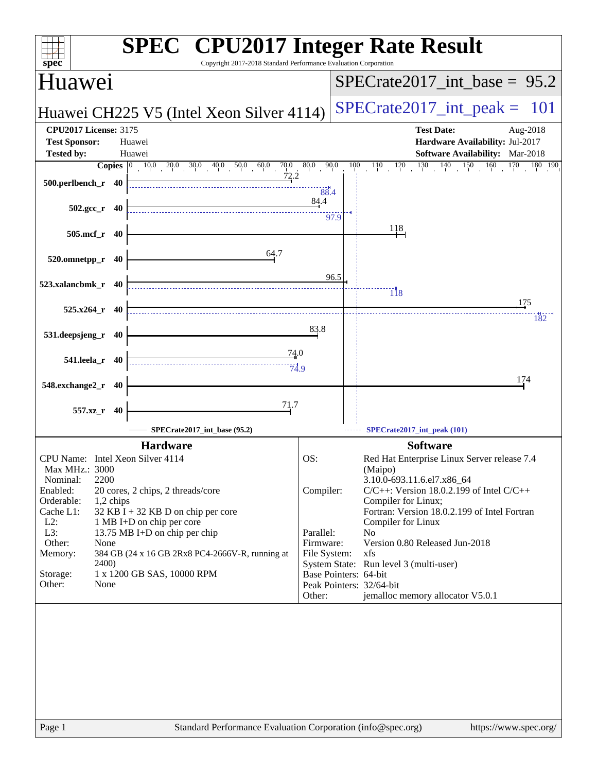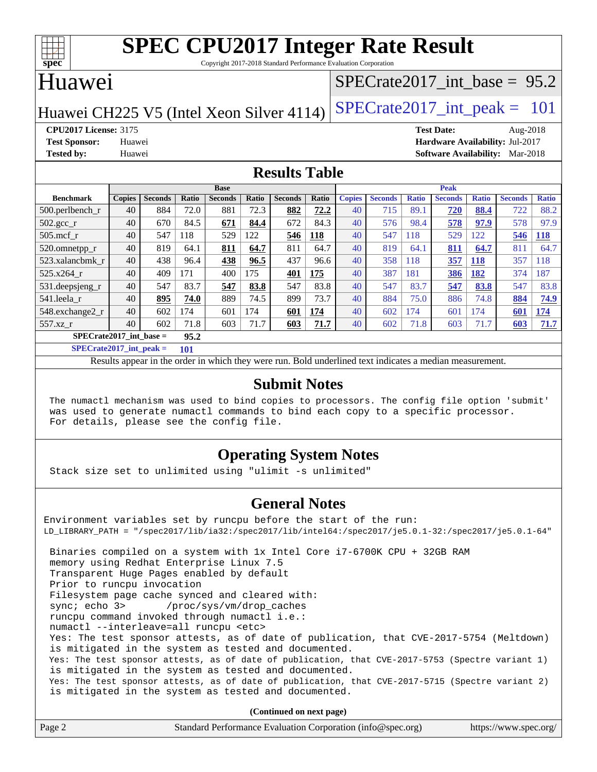

Copyright 2017-2018 Standard Performance Evaluation Corporation

#### Huawei

#### [SPECrate2017\\_int\\_base =](http://www.spec.org/auto/cpu2017/Docs/result-fields.html#SPECrate2017intbase) 95.2

Huawei CH225 V5 (Intel Xeon Silver 4114) SPECrate  $2017$ \_int\_peak = 101

**[CPU2017 License:](http://www.spec.org/auto/cpu2017/Docs/result-fields.html#CPU2017License)** 3175 **[Test Date:](http://www.spec.org/auto/cpu2017/Docs/result-fields.html#TestDate)** Aug-2018 **[Test Sponsor:](http://www.spec.org/auto/cpu2017/Docs/result-fields.html#TestSponsor)** Huawei **[Hardware Availability:](http://www.spec.org/auto/cpu2017/Docs/result-fields.html#HardwareAvailability)** Jul-2017 **[Tested by:](http://www.spec.org/auto/cpu2017/Docs/result-fields.html#Testedby)** Huawei **[Software Availability:](http://www.spec.org/auto/cpu2017/Docs/result-fields.html#SoftwareAvailability)** Mar-2018

#### **[Results Table](http://www.spec.org/auto/cpu2017/Docs/result-fields.html#ResultsTable)**

|                               |               |                |       | <b>Base</b>    |       |                |       |               |                |              | <b>Peak</b>    |              |                |              |
|-------------------------------|---------------|----------------|-------|----------------|-------|----------------|-------|---------------|----------------|--------------|----------------|--------------|----------------|--------------|
| <b>Benchmark</b>              | <b>Copies</b> | <b>Seconds</b> | Ratio | <b>Seconds</b> | Ratio | <b>Seconds</b> | Ratio | <b>Copies</b> | <b>Seconds</b> | <b>Ratio</b> | <b>Seconds</b> | <b>Ratio</b> | <b>Seconds</b> | <b>Ratio</b> |
| $500.$ perlbench_r            | 40            | 884            | 72.0  | 881            | 72.3  | 882            | 72.2  | 40            | 715            | 89.1         | 720            | 88.4         | 722            | 88.2         |
| $502.\text{gcc}$ <sub>r</sub> | 40            | 670            | 84.5  | 671            | 84.4  | 672            | 84.3  | 40            | 576            | 98.4         | 578            | 97.9         | 578            | 97.9         |
| $505$ .mcf r                  | 40            | 547            | 118   | 529            | 122   | 546            | 118   | 40            | 547            | 118          | 529            | 122          | 546            | 118          |
| $520.0$ mnetpp_r              | 40            | 819            | 64.1  | 811            | 64.7  | 811            | 64.7  | 40            | 819            | 64.1         | 811            | 64.7         | 811            | 64.7         |
| 523.xalancbmk r               | 40            | 438            | 96.4  | 438            | 96.5  | 437            | 96.6  | 40            | 358            | 118          | 357            | <b>118</b>   | 357            | 118          |
| 525.x264 r                    | 40            | 409            | 171   | 400            | 175   | 401            | 175   | 40            | 387            | 181          | 386            | 182          | 374            | 187          |
| 531.deepsjeng_r               | 40            | 547            | 83.7  | 547            | 83.8  | 547            | 83.8  | 40            | 547            | 83.7         | 547            | 83.8         | 547            | 83.8         |
| 541.leela r                   | 40            | 895            | 74.0  | 889            | 74.5  | 899            | 73.7  | 40            | 884            | 75.0         | 886            | 74.8         | 884            | 74.9         |
| 548.exchange2_r               | 40            | 602            | 174   | 601            | 174   | 601            | 174   | 40            | 602            | 174          | 601            | 174          | 601            | 174          |
| 557.xz r                      | 40            | 602            | 71.8  | 603            | 71.7  | 603            | 71.7  | 40            | 602            | 71.8         | 603            | 71.7         | 603            | 71.7         |
| $SPECrate2017$ int base =     |               |                | 95.2  |                |       |                |       |               |                |              |                |              |                |              |

**[SPECrate2017\\_int\\_peak =](http://www.spec.org/auto/cpu2017/Docs/result-fields.html#SPECrate2017intpeak) 101**

Results appear in the [order in which they were run.](http://www.spec.org/auto/cpu2017/Docs/result-fields.html#RunOrder) Bold underlined text [indicates a median measurement.](http://www.spec.org/auto/cpu2017/Docs/result-fields.html#Median)

#### **[Submit Notes](http://www.spec.org/auto/cpu2017/Docs/result-fields.html#SubmitNotes)**

 The numactl mechanism was used to bind copies to processors. The config file option 'submit' was used to generate numactl commands to bind each copy to a specific processor. For details, please see the config file.

#### **[Operating System Notes](http://www.spec.org/auto/cpu2017/Docs/result-fields.html#OperatingSystemNotes)**

Stack size set to unlimited using "ulimit -s unlimited"

#### **[General Notes](http://www.spec.org/auto/cpu2017/Docs/result-fields.html#GeneralNotes)**

Environment variables set by runcpu before the start of the run: LD\_LIBRARY\_PATH = "/spec2017/lib/ia32:/spec2017/lib/intel64:/spec2017/je5.0.1-32:/spec2017/je5.0.1-64" Binaries compiled on a system with 1x Intel Core i7-6700K CPU + 32GB RAM memory using Redhat Enterprise Linux 7.5 Transparent Huge Pages enabled by default Prior to runcpu invocation Filesystem page cache synced and cleared with: sync; echo 3> /proc/sys/vm/drop\_caches runcpu command invoked through numactl i.e.: numactl --interleave=all runcpu <etc> Yes: The test sponsor attests, as of date of publication, that CVE-2017-5754 (Meltdown) is mitigated in the system as tested and documented. Yes: The test sponsor attests, as of date of publication, that CVE-2017-5753 (Spectre variant 1) is mitigated in the system as tested and documented. Yes: The test sponsor attests, as of date of publication, that CVE-2017-5715 (Spectre variant 2) is mitigated in the system as tested and documented.

**(Continued on next page)**

| Page 2 | Standard Performance Evaluation Corporation (info@spec.org) | https://www.spec.org/ |
|--------|-------------------------------------------------------------|-----------------------|
|--------|-------------------------------------------------------------|-----------------------|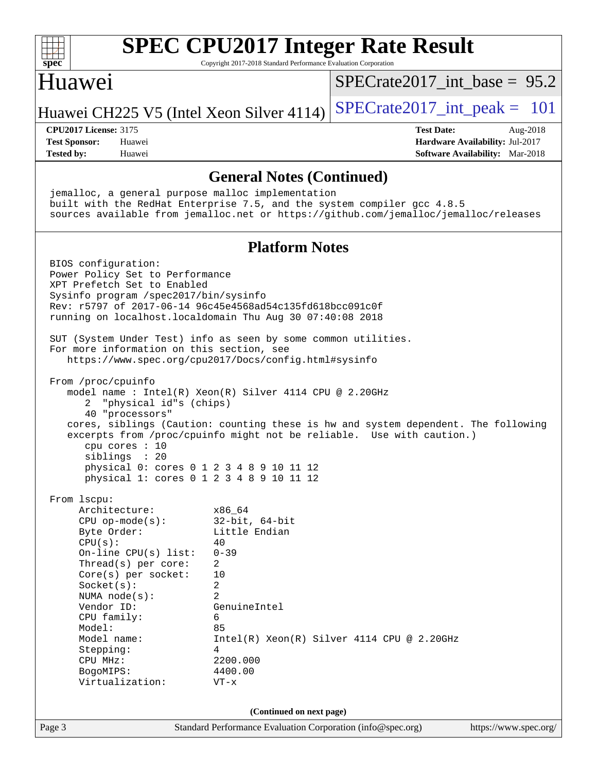| $sp\overline{ec}$                                                                                                                                                                                                                |                                                                                                         | <b>SPEC CPU2017 Integer Rate Result</b><br>Copyright 2017-2018 Standard Performance Evaluation Corporation                                                                                                                                                                                                     |                                                                                                            |  |
|----------------------------------------------------------------------------------------------------------------------------------------------------------------------------------------------------------------------------------|---------------------------------------------------------------------------------------------------------|----------------------------------------------------------------------------------------------------------------------------------------------------------------------------------------------------------------------------------------------------------------------------------------------------------------|------------------------------------------------------------------------------------------------------------|--|
| Huawei                                                                                                                                                                                                                           |                                                                                                         |                                                                                                                                                                                                                                                                                                                | $SPECrate2017$ int base = 95.2                                                                             |  |
|                                                                                                                                                                                                                                  |                                                                                                         | Huawei CH225 V5 (Intel Xeon Silver 4114)                                                                                                                                                                                                                                                                       | $SPECrate2017\_int\_peak = 101$                                                                            |  |
| <b>CPU2017 License: 3175</b><br><b>Test Sponsor:</b><br><b>Tested by:</b>                                                                                                                                                        | Huawei<br>Huawei                                                                                        |                                                                                                                                                                                                                                                                                                                | <b>Test Date:</b><br>Aug-2018<br>Hardware Availability: Jul-2017<br><b>Software Availability:</b> Mar-2018 |  |
|                                                                                                                                                                                                                                  |                                                                                                         | <b>General Notes (Continued)</b>                                                                                                                                                                                                                                                                               |                                                                                                            |  |
|                                                                                                                                                                                                                                  |                                                                                                         | jemalloc, a general purpose malloc implementation<br>built with the RedHat Enterprise 7.5, and the system compiler gcc 4.8.5<br>sources available from jemalloc.net or https://github.com/jemalloc/jemalloc/releases                                                                                           |                                                                                                            |  |
|                                                                                                                                                                                                                                  |                                                                                                         | <b>Platform Notes</b>                                                                                                                                                                                                                                                                                          |                                                                                                            |  |
| BIOS configuration:                                                                                                                                                                                                              | Power Policy Set to Performance<br>XPT Prefetch Set to Enabled<br>Sysinfo program /spec2017/bin/sysinfo | Rev: r5797 of 2017-06-14 96c45e4568ad54c135fd618bcc091c0f<br>running on localhost.localdomain Thu Aug 30 07:40:08 2018<br>SUT (System Under Test) info as seen by some common utilities.                                                                                                                       |                                                                                                            |  |
|                                                                                                                                                                                                                                  | For more information on this section, see                                                               | https://www.spec.org/cpu2017/Docs/config.html#sysinfo                                                                                                                                                                                                                                                          |                                                                                                            |  |
| From /proc/cpuinfo<br>2                                                                                                                                                                                                          | "physical id"s (chips)<br>40 "processors"<br>cpu cores $: 10$<br>siblings : 20                          | model name : Intel(R) Xeon(R) Silver 4114 CPU @ 2.20GHz<br>cores, siblings (Caution: counting these is hw and system dependent. The following<br>excerpts from /proc/cpuinfo might not be reliable. Use with caution.)<br>physical 0: cores 0 1 2 3 4 8 9 10 11 12<br>physical 1: cores 0 1 2 3 4 8 9 10 11 12 |                                                                                                            |  |
| From lscpu:<br>Architecture:<br>$CPU$ op-mode( $s$ ):<br>Byte Order:<br>CPU(s):<br>Socket(s):<br>NUMA $node(s)$ :<br>Vendor ID:<br>CPU family:<br>Model:<br>Model name:<br>Stepping:<br>CPU MHz:<br>BogoMIPS:<br>Virtualization: | On-line $CPU(s)$ list:<br>Thread(s) per core:<br>Core(s) per socket:                                    | x86_64<br>$32$ -bit, $64$ -bit<br>Little Endian<br>40<br>$0 - 39$<br>2<br>10<br>2<br>2<br>GenuineIntel<br>6<br>85<br>$Intel(R) Xeon(R) Silver 4114 CPU @ 2.20GHz$<br>4<br>2200.000<br>4400.00<br>$VT - x$                                                                                                      |                                                                                                            |  |
|                                                                                                                                                                                                                                  |                                                                                                         | (Continued on next page)                                                                                                                                                                                                                                                                                       |                                                                                                            |  |
| Page 3                                                                                                                                                                                                                           |                                                                                                         | Standard Performance Evaluation Corporation (info@spec.org)                                                                                                                                                                                                                                                    | https://www.spec.org/                                                                                      |  |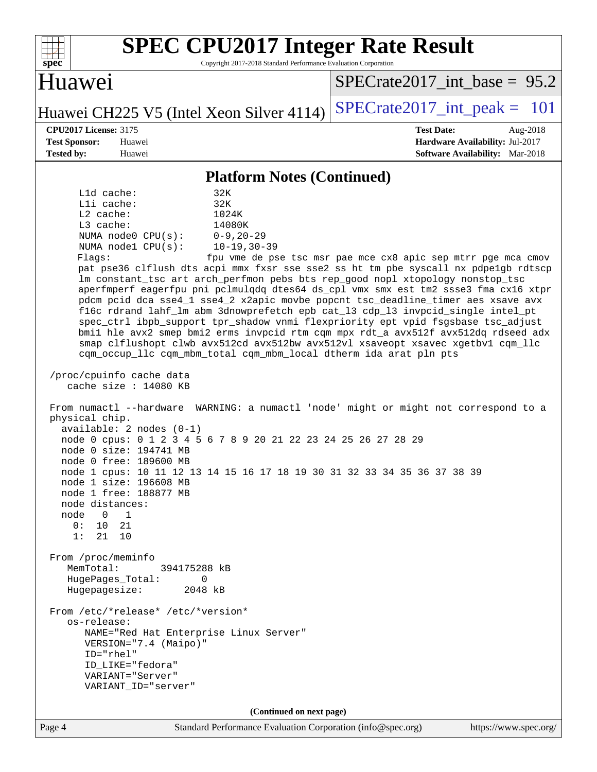| <b>SPEC CPU2017 Integer Rate Result</b><br>Copyright 2017-2018 Standard Performance Evaluation Corporation<br>$s\overline{p}$ ec <sup>®</sup>                                                                                                                                                                                                                                                                                                                                                                                                                                                                                                                                                                                                                                                                                                                                                                                                                                                                                                                                                                                                                                                                                                                                                                                                                                                                                                                                                                                                                                                                                                                                                                                                                                                                            |                                                                                                     |
|--------------------------------------------------------------------------------------------------------------------------------------------------------------------------------------------------------------------------------------------------------------------------------------------------------------------------------------------------------------------------------------------------------------------------------------------------------------------------------------------------------------------------------------------------------------------------------------------------------------------------------------------------------------------------------------------------------------------------------------------------------------------------------------------------------------------------------------------------------------------------------------------------------------------------------------------------------------------------------------------------------------------------------------------------------------------------------------------------------------------------------------------------------------------------------------------------------------------------------------------------------------------------------------------------------------------------------------------------------------------------------------------------------------------------------------------------------------------------------------------------------------------------------------------------------------------------------------------------------------------------------------------------------------------------------------------------------------------------------------------------------------------------------------------------------------------------|-----------------------------------------------------------------------------------------------------|
| Huawei                                                                                                                                                                                                                                                                                                                                                                                                                                                                                                                                                                                                                                                                                                                                                                                                                                                                                                                                                                                                                                                                                                                                                                                                                                                                                                                                                                                                                                                                                                                                                                                                                                                                                                                                                                                                                   | $SPECrate2017\_int\_base = 95.2$                                                                    |
| Huawei CH225 V5 (Intel Xeon Silver 4114)                                                                                                                                                                                                                                                                                                                                                                                                                                                                                                                                                                                                                                                                                                                                                                                                                                                                                                                                                                                                                                                                                                                                                                                                                                                                                                                                                                                                                                                                                                                                                                                                                                                                                                                                                                                 | $SPECrate2017\_int\_peak = 101$                                                                     |
| <b>CPU2017 License: 3175</b><br><b>Test Sponsor:</b><br>Huawei<br><b>Tested by:</b><br>Huawei                                                                                                                                                                                                                                                                                                                                                                                                                                                                                                                                                                                                                                                                                                                                                                                                                                                                                                                                                                                                                                                                                                                                                                                                                                                                                                                                                                                                                                                                                                                                                                                                                                                                                                                            | <b>Test Date:</b><br>Aug-2018<br>Hardware Availability: Jul-2017<br>Software Availability: Mar-2018 |
| <b>Platform Notes (Continued)</b>                                                                                                                                                                                                                                                                                                                                                                                                                                                                                                                                                                                                                                                                                                                                                                                                                                                                                                                                                                                                                                                                                                                                                                                                                                                                                                                                                                                                                                                                                                                                                                                                                                                                                                                                                                                        |                                                                                                     |
| L1d cache:<br>32K<br>Lli cache:<br>32K<br>L2 cache:<br>1024K<br>L3 cache:<br>14080K<br>$0 - 9, 20 - 29$<br>NUMA node0 CPU(s):<br>$10 - 19, 30 - 39$<br>NUMA nodel CPU(s):<br>Flags:<br>pat pse36 clflush dts acpi mmx fxsr sse sse2 ss ht tm pbe syscall nx pdpelgb rdtscp<br>lm constant_tsc art arch_perfmon pebs bts rep_good nopl xtopology nonstop_tsc<br>aperfmperf eagerfpu pni pclmulqdq dtes64 ds_cpl vmx smx est tm2 ssse3 fma cx16 xtpr<br>pdcm pcid dca sse4_1 sse4_2 x2apic movbe popcnt tsc_deadline_timer aes xsave avx<br>f16c rdrand lahf_lm abm 3dnowprefetch epb cat_13 cdp_13 invpcid_single intel_pt<br>spec_ctrl ibpb_support tpr_shadow vnmi flexpriority ept vpid fsgsbase tsc_adjust<br>bmil hle avx2 smep bmi2 erms invpcid rtm cqm mpx rdt_a avx512f avx512dq rdseed adx<br>smap clflushopt clwb avx512cd avx512bw avx512vl xsaveopt xsavec xgetbvl cqm_llc<br>cqm_occup_llc cqm_mbm_total cqm_mbm_local dtherm ida arat pln pts<br>/proc/cpuinfo cache data<br>cache size $: 14080$ KB<br>From numactl --hardware WARNING: a numactl 'node' might or might not correspond to a<br>physical chip.<br>$available: 2 nodes (0-1)$<br>node 0 cpus: 0 1 2 3 4 5 6 7 8 9 20 21 22 23 24 25 26 27 28 29<br>node 0 size: 194741 MB<br>node 0 free: 189600 MB<br>node 1 cpus: 10 11 12 13 14 15 16 17 18 19 30 31 32 33 34 35 36 37 38 39<br>node 1 size: 196608 MB<br>node 1 free: 188877 MB<br>node distances:<br>node<br>$\mathbf{1}$<br>$\Omega$<br>0 :<br>10<br>21<br>1:<br>10<br>21<br>From /proc/meminfo<br>MemTotal:<br>394175288 kB<br>HugePages_Total:<br>0<br>Hugepagesize:<br>2048 kB<br>From /etc/*release* /etc/*version*<br>os-release:<br>NAME="Red Hat Enterprise Linux Server"<br>VERSION="7.4 (Maipo)"<br>ID="rhel"<br>ID LIKE="fedora"<br>VARIANT="Server"<br>VARIANT_ID="server" | fpu vme de pse tsc msr pae mce cx8 apic sep mtrr pge mca cmov                                       |
| (Continued on next page)                                                                                                                                                                                                                                                                                                                                                                                                                                                                                                                                                                                                                                                                                                                                                                                                                                                                                                                                                                                                                                                                                                                                                                                                                                                                                                                                                                                                                                                                                                                                                                                                                                                                                                                                                                                                 |                                                                                                     |
| Standard Performance Evaluation Corporation (info@spec.org)<br>Page 4                                                                                                                                                                                                                                                                                                                                                                                                                                                                                                                                                                                                                                                                                                                                                                                                                                                                                                                                                                                                                                                                                                                                                                                                                                                                                                                                                                                                                                                                                                                                                                                                                                                                                                                                                    | https://www.spec.org/                                                                               |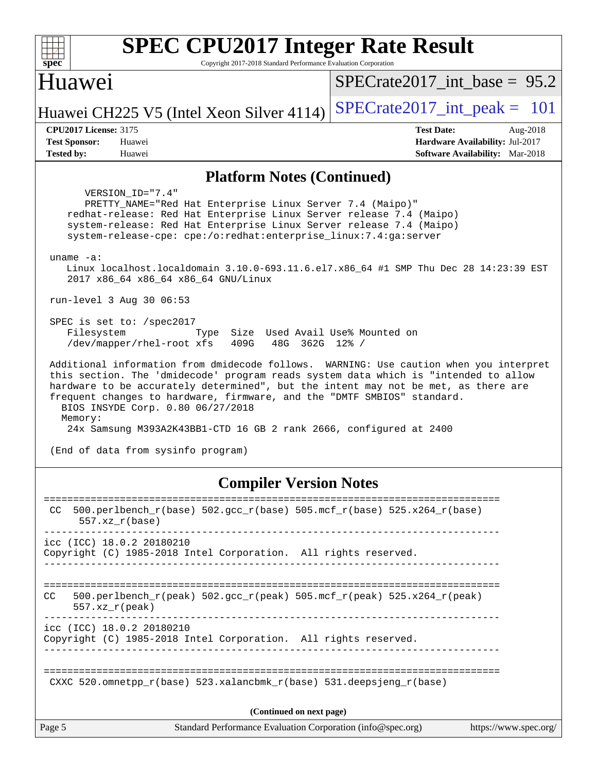| <b>SPEC CPU2017 Integer Rate Result</b><br>$spec^*$<br>Copyright 2017-2018 Standard Performance Evaluation Corporation                                                                                                                                                                                                                                                                                                                                                                                                                                                                                                                                                                                                                                                                                                                                                                                                                                                                                                                                                                                                                 |                                                                                                            |
|----------------------------------------------------------------------------------------------------------------------------------------------------------------------------------------------------------------------------------------------------------------------------------------------------------------------------------------------------------------------------------------------------------------------------------------------------------------------------------------------------------------------------------------------------------------------------------------------------------------------------------------------------------------------------------------------------------------------------------------------------------------------------------------------------------------------------------------------------------------------------------------------------------------------------------------------------------------------------------------------------------------------------------------------------------------------------------------------------------------------------------------|------------------------------------------------------------------------------------------------------------|
| Huawei                                                                                                                                                                                                                                                                                                                                                                                                                                                                                                                                                                                                                                                                                                                                                                                                                                                                                                                                                                                                                                                                                                                                 | $SPECrate2017$ int base = 95.2                                                                             |
| Huawei CH225 V5 (Intel Xeon Silver 4114)                                                                                                                                                                                                                                                                                                                                                                                                                                                                                                                                                                                                                                                                                                                                                                                                                                                                                                                                                                                                                                                                                               | $SPECrate2017\_int\_peak = 101$                                                                            |
| <b>CPU2017 License: 3175</b><br><b>Test Sponsor:</b><br>Huawei<br><b>Tested by:</b><br>Huawei                                                                                                                                                                                                                                                                                                                                                                                                                                                                                                                                                                                                                                                                                                                                                                                                                                                                                                                                                                                                                                          | <b>Test Date:</b><br>Aug-2018<br>Hardware Availability: Jul-2017<br><b>Software Availability:</b> Mar-2018 |
| <b>Platform Notes (Continued)</b>                                                                                                                                                                                                                                                                                                                                                                                                                                                                                                                                                                                                                                                                                                                                                                                                                                                                                                                                                                                                                                                                                                      |                                                                                                            |
| VERSION_ID="7.4"<br>PRETTY_NAME="Red Hat Enterprise Linux Server 7.4 (Maipo)"<br>redhat-release: Red Hat Enterprise Linux Server release 7.4 (Maipo)<br>system-release: Red Hat Enterprise Linux Server release 7.4 (Maipo)<br>system-release-cpe: cpe:/o:redhat:enterprise_linux:7.4:ga:server<br>uname $-a$ :<br>Linux localhost.localdomain 3.10.0-693.11.6.el7.x86_64 #1 SMP Thu Dec 28 14:23:39 EST<br>2017 x86_64 x86_64 x86_64 GNU/Linux<br>run-level 3 Aug 30 06:53<br>SPEC is set to: /spec2017<br>Size Used Avail Use% Mounted on<br>Filesystem<br>Type<br>/dev/mapper/rhel-root xfs<br>409G<br>48G 362G 12% /<br>Additional information from dmidecode follows. WARNING: Use caution when you interpret<br>this section. The 'dmidecode' program reads system data which is "intended to allow<br>hardware to be accurately determined", but the intent may not be met, as there are<br>frequent changes to hardware, firmware, and the "DMTF SMBIOS" standard.<br>BIOS INSYDE Corp. 0.80 06/27/2018<br>Memory:<br>24x Samsung M393A2K43BB1-CTD 16 GB 2 rank 2666, configured at 2400<br>(End of data from sysinfo program) |                                                                                                            |
| <b>Compiler Version Notes</b>                                                                                                                                                                                                                                                                                                                                                                                                                                                                                                                                                                                                                                                                                                                                                                                                                                                                                                                                                                                                                                                                                                          |                                                                                                            |
| 500.perlbench_r(base) 502.gcc_r(base) 505.mcf_r(base) 525.x264_r(base)<br>CC.<br>$557. xz_r(base)$                                                                                                                                                                                                                                                                                                                                                                                                                                                                                                                                                                                                                                                                                                                                                                                                                                                                                                                                                                                                                                     |                                                                                                            |
| icc (ICC) 18.0.2 20180210<br>Copyright (C) 1985-2018 Intel Corporation. All rights reserved.                                                                                                                                                                                                                                                                                                                                                                                                                                                                                                                                                                                                                                                                                                                                                                                                                                                                                                                                                                                                                                           |                                                                                                            |
| $500.perlbench_r(peak)$ $502.gcc_r(peak)$ $505.mcf_r(peak)$ $525.x264_r(peak)$<br>CC<br>$557. xz_r (peak)$                                                                                                                                                                                                                                                                                                                                                                                                                                                                                                                                                                                                                                                                                                                                                                                                                                                                                                                                                                                                                             |                                                                                                            |
| icc (ICC) 18.0.2 20180210<br>Copyright (C) 1985-2018 Intel Corporation. All rights reserved.                                                                                                                                                                                                                                                                                                                                                                                                                                                                                                                                                                                                                                                                                                                                                                                                                                                                                                                                                                                                                                           |                                                                                                            |
| CXXC $520.\text{omnetpp_r(base)}$ $523.\text{xalancbmk_r(base)}$ $531.\text{deepsjeng_r(base)}$                                                                                                                                                                                                                                                                                                                                                                                                                                                                                                                                                                                                                                                                                                                                                                                                                                                                                                                                                                                                                                        |                                                                                                            |
| (Continued on next page)                                                                                                                                                                                                                                                                                                                                                                                                                                                                                                                                                                                                                                                                                                                                                                                                                                                                                                                                                                                                                                                                                                               |                                                                                                            |
| Page 5<br>Standard Performance Evaluation Corporation (info@spec.org)                                                                                                                                                                                                                                                                                                                                                                                                                                                                                                                                                                                                                                                                                                                                                                                                                                                                                                                                                                                                                                                                  | https://www.spec.org/                                                                                      |
|                                                                                                                                                                                                                                                                                                                                                                                                                                                                                                                                                                                                                                                                                                                                                                                                                                                                                                                                                                                                                                                                                                                                        |                                                                                                            |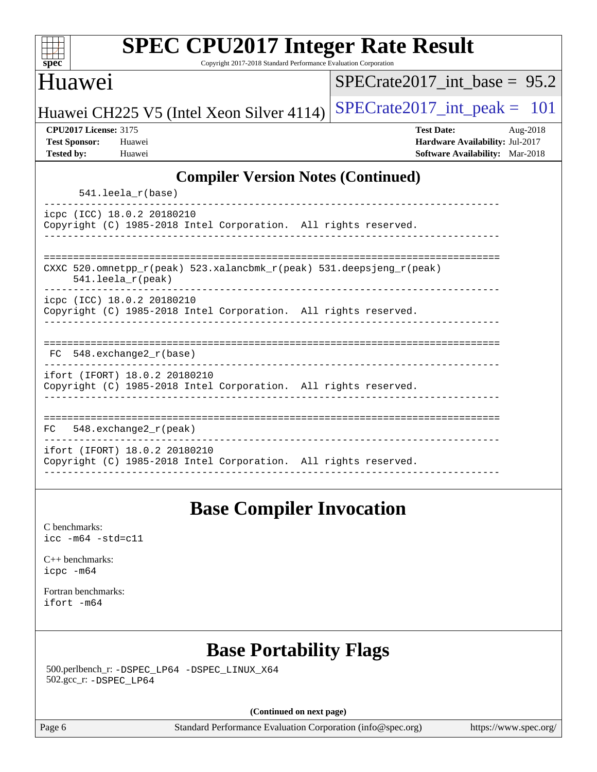| Huawei                                                                    |                                                                                                  |  |  |                   | $SPECrate2017\_int\_base = 95.2$                                          |          |  |
|---------------------------------------------------------------------------|--------------------------------------------------------------------------------------------------|--|--|-------------------|---------------------------------------------------------------------------|----------|--|
|                                                                           | Huawei CH225 V5 (Intel Xeon Silver 4114)                                                         |  |  |                   | $SPECrate2017\_int\_peak = 101$                                           |          |  |
| <b>CPU2017 License: 3175</b><br><b>Test Sponsor:</b><br><b>Tested by:</b> | Huawei<br>Huawei                                                                                 |  |  | <b>Test Date:</b> | Hardware Availability: Jul-2017<br><b>Software Availability:</b> Mar-2018 | Aug-2018 |  |
|                                                                           | <b>Compiler Version Notes (Continued)</b>                                                        |  |  |                   |                                                                           |          |  |
|                                                                           | $541.$ leela $r(base)$                                                                           |  |  |                   |                                                                           |          |  |
|                                                                           | icpc (ICC) 18.0.2 20180210<br>Copyright (C) 1985-2018 Intel Corporation. All rights reserved.    |  |  |                   |                                                                           |          |  |
|                                                                           | CXXC 520.omnetpp_r(peak) 523.xalancbmk_r(peak) 531.deepsjeng_r(peak)<br>$541.$ leela_ $r$ (peak) |  |  |                   |                                                                           |          |  |
|                                                                           |                                                                                                  |  |  |                   |                                                                           |          |  |
|                                                                           | icpc (ICC) 18.0.2 20180210<br>Copyright (C) 1985-2018 Intel Corporation. All rights reserved.    |  |  |                   |                                                                           |          |  |
|                                                                           | FC 548. exchange2 r(base)                                                                        |  |  |                   |                                                                           |          |  |
|                                                                           | ifort (IFORT) 18.0.2 20180210<br>Copyright (C) 1985-2018 Intel Corporation. All rights reserved. |  |  |                   |                                                                           |          |  |
| FC                                                                        | $548$ . exchange $2 r$ (peak)                                                                    |  |  |                   |                                                                           |          |  |

#### **[Base Compiler Invocation](http://www.spec.org/auto/cpu2017/Docs/result-fields.html#BaseCompilerInvocation)**

[C benchmarks](http://www.spec.org/auto/cpu2017/Docs/result-fields.html#Cbenchmarks): [icc -m64 -std=c11](http://www.spec.org/cpu2017/results/res2018q4/cpu2017-20180904-08811.flags.html#user_CCbase_intel_icc_64bit_c11_33ee0cdaae7deeeab2a9725423ba97205ce30f63b9926c2519791662299b76a0318f32ddfffdc46587804de3178b4f9328c46fa7c2b0cd779d7a61945c91cd35)

[C++ benchmarks:](http://www.spec.org/auto/cpu2017/Docs/result-fields.html#CXXbenchmarks) [icpc -m64](http://www.spec.org/cpu2017/results/res2018q4/cpu2017-20180904-08811.flags.html#user_CXXbase_intel_icpc_64bit_4ecb2543ae3f1412ef961e0650ca070fec7b7afdcd6ed48761b84423119d1bf6bdf5cad15b44d48e7256388bc77273b966e5eb805aefd121eb22e9299b2ec9d9)

[Fortran benchmarks](http://www.spec.org/auto/cpu2017/Docs/result-fields.html#Fortranbenchmarks): [ifort -m64](http://www.spec.org/cpu2017/results/res2018q4/cpu2017-20180904-08811.flags.html#user_FCbase_intel_ifort_64bit_24f2bb282fbaeffd6157abe4f878425411749daecae9a33200eee2bee2fe76f3b89351d69a8130dd5949958ce389cf37ff59a95e7a40d588e8d3a57e0c3fd751)

### **[Base Portability Flags](http://www.spec.org/auto/cpu2017/Docs/result-fields.html#BasePortabilityFlags)**

 500.perlbench\_r: [-DSPEC\\_LP64](http://www.spec.org/cpu2017/results/res2018q4/cpu2017-20180904-08811.flags.html#b500.perlbench_r_basePORTABILITY_DSPEC_LP64) [-DSPEC\\_LINUX\\_X64](http://www.spec.org/cpu2017/results/res2018q4/cpu2017-20180904-08811.flags.html#b500.perlbench_r_baseCPORTABILITY_DSPEC_LINUX_X64) 502.gcc\_r: [-DSPEC\\_LP64](http://www.spec.org/cpu2017/results/res2018q4/cpu2017-20180904-08811.flags.html#suite_basePORTABILITY502_gcc_r_DSPEC_LP64)

**(Continued on next page)**

Page 6 Standard Performance Evaluation Corporation [\(info@spec.org\)](mailto:info@spec.org) <https://www.spec.org/>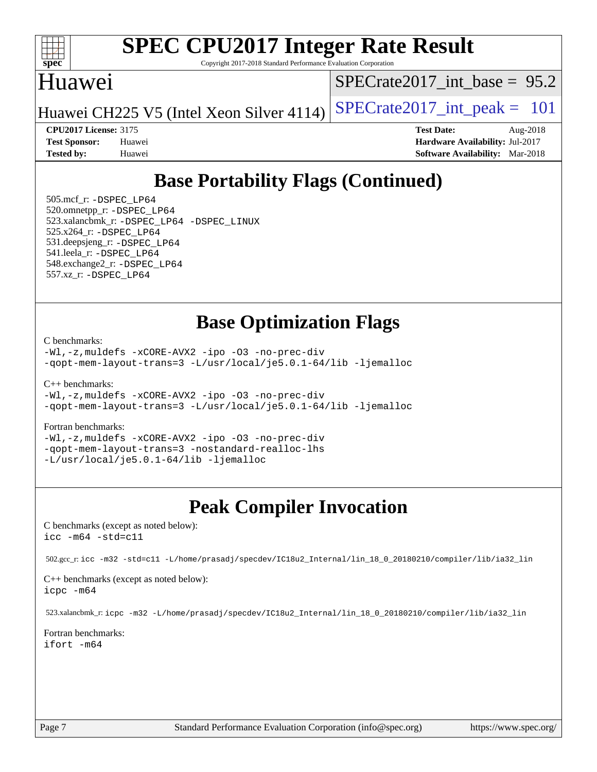

Copyright 2017-2018 Standard Performance Evaluation Corporation

#### Huawei

[SPECrate2017\\_int\\_base =](http://www.spec.org/auto/cpu2017/Docs/result-fields.html#SPECrate2017intbase) 95.2

Huawei CH225 V5 (Intel Xeon Silver 4114) SPECrate  $2017$ \_int\_peak = 101

**[CPU2017 License:](http://www.spec.org/auto/cpu2017/Docs/result-fields.html#CPU2017License)** 3175 **[Test Date:](http://www.spec.org/auto/cpu2017/Docs/result-fields.html#TestDate)** Aug-2018 **[Test Sponsor:](http://www.spec.org/auto/cpu2017/Docs/result-fields.html#TestSponsor)** Huawei **[Hardware Availability:](http://www.spec.org/auto/cpu2017/Docs/result-fields.html#HardwareAvailability)** Jul-2017 **[Tested by:](http://www.spec.org/auto/cpu2017/Docs/result-fields.html#Testedby)** Huawei **[Software Availability:](http://www.spec.org/auto/cpu2017/Docs/result-fields.html#SoftwareAvailability)** Mar-2018

### **[Base Portability Flags \(Continued\)](http://www.spec.org/auto/cpu2017/Docs/result-fields.html#BasePortabilityFlags)**

 505.mcf\_r: [-DSPEC\\_LP64](http://www.spec.org/cpu2017/results/res2018q4/cpu2017-20180904-08811.flags.html#suite_basePORTABILITY505_mcf_r_DSPEC_LP64) 520.omnetpp\_r: [-DSPEC\\_LP64](http://www.spec.org/cpu2017/results/res2018q4/cpu2017-20180904-08811.flags.html#suite_basePORTABILITY520_omnetpp_r_DSPEC_LP64) 523.xalancbmk\_r: [-DSPEC\\_LP64](http://www.spec.org/cpu2017/results/res2018q4/cpu2017-20180904-08811.flags.html#suite_basePORTABILITY523_xalancbmk_r_DSPEC_LP64) [-DSPEC\\_LINUX](http://www.spec.org/cpu2017/results/res2018q4/cpu2017-20180904-08811.flags.html#b523.xalancbmk_r_baseCXXPORTABILITY_DSPEC_LINUX) 525.x264\_r: [-DSPEC\\_LP64](http://www.spec.org/cpu2017/results/res2018q4/cpu2017-20180904-08811.flags.html#suite_basePORTABILITY525_x264_r_DSPEC_LP64) 531.deepsjeng\_r: [-DSPEC\\_LP64](http://www.spec.org/cpu2017/results/res2018q4/cpu2017-20180904-08811.flags.html#suite_basePORTABILITY531_deepsjeng_r_DSPEC_LP64) 541.leela\_r: [-DSPEC\\_LP64](http://www.spec.org/cpu2017/results/res2018q4/cpu2017-20180904-08811.flags.html#suite_basePORTABILITY541_leela_r_DSPEC_LP64) 548.exchange2\_r: [-DSPEC\\_LP64](http://www.spec.org/cpu2017/results/res2018q4/cpu2017-20180904-08811.flags.html#suite_basePORTABILITY548_exchange2_r_DSPEC_LP64) 557.xz\_r: [-DSPEC\\_LP64](http://www.spec.org/cpu2017/results/res2018q4/cpu2017-20180904-08811.flags.html#suite_basePORTABILITY557_xz_r_DSPEC_LP64)

#### **[Base Optimization Flags](http://www.spec.org/auto/cpu2017/Docs/result-fields.html#BaseOptimizationFlags)**

[C benchmarks](http://www.spec.org/auto/cpu2017/Docs/result-fields.html#Cbenchmarks):

[-Wl,-z,muldefs](http://www.spec.org/cpu2017/results/res2018q4/cpu2017-20180904-08811.flags.html#user_CCbase_link_force_multiple1_b4cbdb97b34bdee9ceefcfe54f4c8ea74255f0b02a4b23e853cdb0e18eb4525ac79b5a88067c842dd0ee6996c24547a27a4b99331201badda8798ef8a743f577) [-xCORE-AVX2](http://www.spec.org/cpu2017/results/res2018q4/cpu2017-20180904-08811.flags.html#user_CCbase_f-xCORE-AVX2) [-ipo](http://www.spec.org/cpu2017/results/res2018q4/cpu2017-20180904-08811.flags.html#user_CCbase_f-ipo) [-O3](http://www.spec.org/cpu2017/results/res2018q4/cpu2017-20180904-08811.flags.html#user_CCbase_f-O3) [-no-prec-div](http://www.spec.org/cpu2017/results/res2018q4/cpu2017-20180904-08811.flags.html#user_CCbase_f-no-prec-div) [-qopt-mem-layout-trans=3](http://www.spec.org/cpu2017/results/res2018q4/cpu2017-20180904-08811.flags.html#user_CCbase_f-qopt-mem-layout-trans_de80db37974c74b1f0e20d883f0b675c88c3b01e9d123adea9b28688d64333345fb62bc4a798493513fdb68f60282f9a726aa07f478b2f7113531aecce732043) [-L/usr/local/je5.0.1-64/lib](http://www.spec.org/cpu2017/results/res2018q4/cpu2017-20180904-08811.flags.html#user_CCbase_jemalloc_link_path64_4b10a636b7bce113509b17f3bd0d6226c5fb2346b9178c2d0232c14f04ab830f976640479e5c33dc2bcbbdad86ecfb6634cbbd4418746f06f368b512fced5394) [-ljemalloc](http://www.spec.org/cpu2017/results/res2018q4/cpu2017-20180904-08811.flags.html#user_CCbase_jemalloc_link_lib_d1249b907c500fa1c0672f44f562e3d0f79738ae9e3c4a9c376d49f265a04b9c99b167ecedbf6711b3085be911c67ff61f150a17b3472be731631ba4d0471706)

[C++ benchmarks:](http://www.spec.org/auto/cpu2017/Docs/result-fields.html#CXXbenchmarks)

[-Wl,-z,muldefs](http://www.spec.org/cpu2017/results/res2018q4/cpu2017-20180904-08811.flags.html#user_CXXbase_link_force_multiple1_b4cbdb97b34bdee9ceefcfe54f4c8ea74255f0b02a4b23e853cdb0e18eb4525ac79b5a88067c842dd0ee6996c24547a27a4b99331201badda8798ef8a743f577) [-xCORE-AVX2](http://www.spec.org/cpu2017/results/res2018q4/cpu2017-20180904-08811.flags.html#user_CXXbase_f-xCORE-AVX2) [-ipo](http://www.spec.org/cpu2017/results/res2018q4/cpu2017-20180904-08811.flags.html#user_CXXbase_f-ipo) [-O3](http://www.spec.org/cpu2017/results/res2018q4/cpu2017-20180904-08811.flags.html#user_CXXbase_f-O3) [-no-prec-div](http://www.spec.org/cpu2017/results/res2018q4/cpu2017-20180904-08811.flags.html#user_CXXbase_f-no-prec-div) [-qopt-mem-layout-trans=3](http://www.spec.org/cpu2017/results/res2018q4/cpu2017-20180904-08811.flags.html#user_CXXbase_f-qopt-mem-layout-trans_de80db37974c74b1f0e20d883f0b675c88c3b01e9d123adea9b28688d64333345fb62bc4a798493513fdb68f60282f9a726aa07f478b2f7113531aecce732043) [-L/usr/local/je5.0.1-64/lib](http://www.spec.org/cpu2017/results/res2018q4/cpu2017-20180904-08811.flags.html#user_CXXbase_jemalloc_link_path64_4b10a636b7bce113509b17f3bd0d6226c5fb2346b9178c2d0232c14f04ab830f976640479e5c33dc2bcbbdad86ecfb6634cbbd4418746f06f368b512fced5394) [-ljemalloc](http://www.spec.org/cpu2017/results/res2018q4/cpu2017-20180904-08811.flags.html#user_CXXbase_jemalloc_link_lib_d1249b907c500fa1c0672f44f562e3d0f79738ae9e3c4a9c376d49f265a04b9c99b167ecedbf6711b3085be911c67ff61f150a17b3472be731631ba4d0471706)

#### [Fortran benchmarks](http://www.spec.org/auto/cpu2017/Docs/result-fields.html#Fortranbenchmarks):

[-Wl,-z,muldefs](http://www.spec.org/cpu2017/results/res2018q4/cpu2017-20180904-08811.flags.html#user_FCbase_link_force_multiple1_b4cbdb97b34bdee9ceefcfe54f4c8ea74255f0b02a4b23e853cdb0e18eb4525ac79b5a88067c842dd0ee6996c24547a27a4b99331201badda8798ef8a743f577) [-xCORE-AVX2](http://www.spec.org/cpu2017/results/res2018q4/cpu2017-20180904-08811.flags.html#user_FCbase_f-xCORE-AVX2) [-ipo](http://www.spec.org/cpu2017/results/res2018q4/cpu2017-20180904-08811.flags.html#user_FCbase_f-ipo) [-O3](http://www.spec.org/cpu2017/results/res2018q4/cpu2017-20180904-08811.flags.html#user_FCbase_f-O3) [-no-prec-div](http://www.spec.org/cpu2017/results/res2018q4/cpu2017-20180904-08811.flags.html#user_FCbase_f-no-prec-div) [-qopt-mem-layout-trans=3](http://www.spec.org/cpu2017/results/res2018q4/cpu2017-20180904-08811.flags.html#user_FCbase_f-qopt-mem-layout-trans_de80db37974c74b1f0e20d883f0b675c88c3b01e9d123adea9b28688d64333345fb62bc4a798493513fdb68f60282f9a726aa07f478b2f7113531aecce732043) [-nostandard-realloc-lhs](http://www.spec.org/cpu2017/results/res2018q4/cpu2017-20180904-08811.flags.html#user_FCbase_f_2003_std_realloc_82b4557e90729c0f113870c07e44d33d6f5a304b4f63d4c15d2d0f1fab99f5daaed73bdb9275d9ae411527f28b936061aa8b9c8f2d63842963b95c9dd6426b8a) [-L/usr/local/je5.0.1-64/lib](http://www.spec.org/cpu2017/results/res2018q4/cpu2017-20180904-08811.flags.html#user_FCbase_jemalloc_link_path64_4b10a636b7bce113509b17f3bd0d6226c5fb2346b9178c2d0232c14f04ab830f976640479e5c33dc2bcbbdad86ecfb6634cbbd4418746f06f368b512fced5394) [-ljemalloc](http://www.spec.org/cpu2017/results/res2018q4/cpu2017-20180904-08811.flags.html#user_FCbase_jemalloc_link_lib_d1249b907c500fa1c0672f44f562e3d0f79738ae9e3c4a9c376d49f265a04b9c99b167ecedbf6711b3085be911c67ff61f150a17b3472be731631ba4d0471706)

### **[Peak Compiler Invocation](http://www.spec.org/auto/cpu2017/Docs/result-fields.html#PeakCompilerInvocation)**

[C benchmarks \(except as noted below\)](http://www.spec.org/auto/cpu2017/Docs/result-fields.html#Cbenchmarksexceptasnotedbelow): [icc -m64 -std=c11](http://www.spec.org/cpu2017/results/res2018q4/cpu2017-20180904-08811.flags.html#user_CCpeak_intel_icc_64bit_c11_33ee0cdaae7deeeab2a9725423ba97205ce30f63b9926c2519791662299b76a0318f32ddfffdc46587804de3178b4f9328c46fa7c2b0cd779d7a61945c91cd35)

502.gcc\_r: [icc -m32 -std=c11 -L/home/prasadj/specdev/IC18u2\\_Internal/lin\\_18\\_0\\_20180210/compiler/lib/ia32\\_lin](http://www.spec.org/cpu2017/results/res2018q4/cpu2017-20180904-08811.flags.html#user_peakCCLD502_gcc_r_intel_icc_a481ac844e7127046fad14d498c730a1848fa901fbbb2c3dfdd5e9fbbac777c8009953946d55d8b6afe8ed0da70dd2b4f8dedbdf7ab1ee211ba70d24a5d89f85)

[C++ benchmarks \(except as noted below\):](http://www.spec.org/auto/cpu2017/Docs/result-fields.html#CXXbenchmarksexceptasnotedbelow) [icpc -m64](http://www.spec.org/cpu2017/results/res2018q4/cpu2017-20180904-08811.flags.html#user_CXXpeak_intel_icpc_64bit_4ecb2543ae3f1412ef961e0650ca070fec7b7afdcd6ed48761b84423119d1bf6bdf5cad15b44d48e7256388bc77273b966e5eb805aefd121eb22e9299b2ec9d9)

523.xalancbmk\_r: [icpc -m32 -L/home/prasadj/specdev/IC18u2\\_Internal/lin\\_18\\_0\\_20180210/compiler/lib/ia32\\_lin](http://www.spec.org/cpu2017/results/res2018q4/cpu2017-20180904-08811.flags.html#user_peakCXXLD523_xalancbmk_r_intel_icpc_c6d030cd79af6ea7d6fb64c57e8fe7ae8fe0b96fc5a3b3f4a10e3273b3d7fa9decd8263f6330cef23f751cb093a69fae84a2bf4c243500a8eed069248128076f)

[Fortran benchmarks](http://www.spec.org/auto/cpu2017/Docs/result-fields.html#Fortranbenchmarks): [ifort -m64](http://www.spec.org/cpu2017/results/res2018q4/cpu2017-20180904-08811.flags.html#user_FCpeak_intel_ifort_64bit_24f2bb282fbaeffd6157abe4f878425411749daecae9a33200eee2bee2fe76f3b89351d69a8130dd5949958ce389cf37ff59a95e7a40d588e8d3a57e0c3fd751)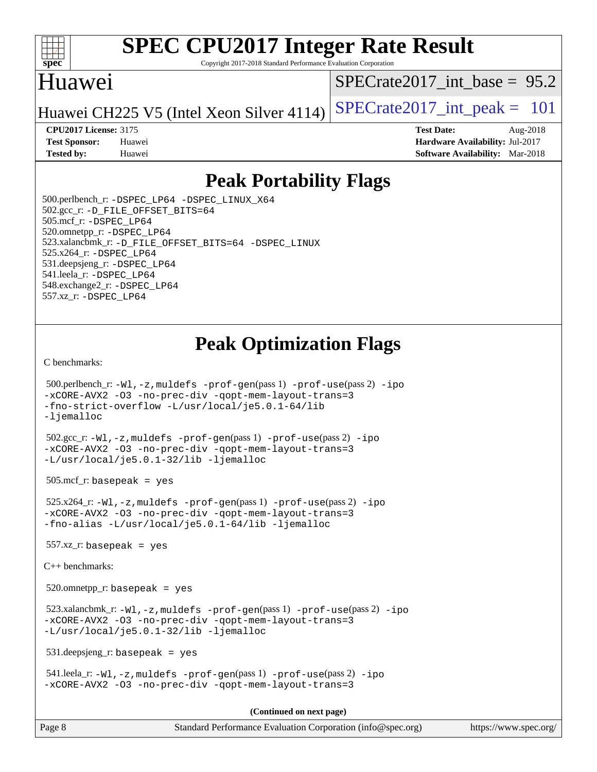

Copyright 2017-2018 Standard Performance Evaluation Corporation

#### Huawei

[SPECrate2017\\_int\\_base =](http://www.spec.org/auto/cpu2017/Docs/result-fields.html#SPECrate2017intbase) 95.2

Huawei CH225 V5 (Intel Xeon Silver 4114) SPECrate  $2017$ \_int\_peak = 101

**[Tested by:](http://www.spec.org/auto/cpu2017/Docs/result-fields.html#Testedby)** Huawei **[Software Availability:](http://www.spec.org/auto/cpu2017/Docs/result-fields.html#SoftwareAvailability)** Mar-2018

**[CPU2017 License:](http://www.spec.org/auto/cpu2017/Docs/result-fields.html#CPU2017License)** 3175 **[Test Date:](http://www.spec.org/auto/cpu2017/Docs/result-fields.html#TestDate)** Aug-2018 **[Test Sponsor:](http://www.spec.org/auto/cpu2017/Docs/result-fields.html#TestSponsor)** Huawei **[Hardware Availability:](http://www.spec.org/auto/cpu2017/Docs/result-fields.html#HardwareAvailability)** Jul-2017

#### **[Peak Portability Flags](http://www.spec.org/auto/cpu2017/Docs/result-fields.html#PeakPortabilityFlags)**

 500.perlbench\_r: [-DSPEC\\_LP64](http://www.spec.org/cpu2017/results/res2018q4/cpu2017-20180904-08811.flags.html#b500.perlbench_r_peakPORTABILITY_DSPEC_LP64) [-DSPEC\\_LINUX\\_X64](http://www.spec.org/cpu2017/results/res2018q4/cpu2017-20180904-08811.flags.html#b500.perlbench_r_peakCPORTABILITY_DSPEC_LINUX_X64) 502.gcc\_r: [-D\\_FILE\\_OFFSET\\_BITS=64](http://www.spec.org/cpu2017/results/res2018q4/cpu2017-20180904-08811.flags.html#user_peakPORTABILITY502_gcc_r_file_offset_bits_64_5ae949a99b284ddf4e95728d47cb0843d81b2eb0e18bdfe74bbf0f61d0b064f4bda2f10ea5eb90e1dcab0e84dbc592acfc5018bc955c18609f94ddb8d550002c) 505.mcf\_r: [-DSPEC\\_LP64](http://www.spec.org/cpu2017/results/res2018q4/cpu2017-20180904-08811.flags.html#suite_peakPORTABILITY505_mcf_r_DSPEC_LP64) 520.omnetpp\_r: [-DSPEC\\_LP64](http://www.spec.org/cpu2017/results/res2018q4/cpu2017-20180904-08811.flags.html#suite_peakPORTABILITY520_omnetpp_r_DSPEC_LP64) 523.xalancbmk\_r: [-D\\_FILE\\_OFFSET\\_BITS=64](http://www.spec.org/cpu2017/results/res2018q4/cpu2017-20180904-08811.flags.html#user_peakPORTABILITY523_xalancbmk_r_file_offset_bits_64_5ae949a99b284ddf4e95728d47cb0843d81b2eb0e18bdfe74bbf0f61d0b064f4bda2f10ea5eb90e1dcab0e84dbc592acfc5018bc955c18609f94ddb8d550002c) [-DSPEC\\_LINUX](http://www.spec.org/cpu2017/results/res2018q4/cpu2017-20180904-08811.flags.html#b523.xalancbmk_r_peakCXXPORTABILITY_DSPEC_LINUX) 525.x264\_r: [-DSPEC\\_LP64](http://www.spec.org/cpu2017/results/res2018q4/cpu2017-20180904-08811.flags.html#suite_peakPORTABILITY525_x264_r_DSPEC_LP64) 531.deepsjeng\_r: [-DSPEC\\_LP64](http://www.spec.org/cpu2017/results/res2018q4/cpu2017-20180904-08811.flags.html#suite_peakPORTABILITY531_deepsjeng_r_DSPEC_LP64) 541.leela\_r: [-DSPEC\\_LP64](http://www.spec.org/cpu2017/results/res2018q4/cpu2017-20180904-08811.flags.html#suite_peakPORTABILITY541_leela_r_DSPEC_LP64) 548.exchange2\_r: [-DSPEC\\_LP64](http://www.spec.org/cpu2017/results/res2018q4/cpu2017-20180904-08811.flags.html#suite_peakPORTABILITY548_exchange2_r_DSPEC_LP64) 557.xz\_r: [-DSPEC\\_LP64](http://www.spec.org/cpu2017/results/res2018q4/cpu2017-20180904-08811.flags.html#suite_peakPORTABILITY557_xz_r_DSPEC_LP64)

### **[Peak Optimization Flags](http://www.spec.org/auto/cpu2017/Docs/result-fields.html#PeakOptimizationFlags)**

[C benchmarks](http://www.spec.org/auto/cpu2017/Docs/result-fields.html#Cbenchmarks):

```
 500.perlbench_r: -Wl,-z,muldefs -prof-gen(pass 1) -prof-use(pass 2) -ipo
-xCORE-AVX2 -O3 -no-prec-div -qopt-mem-layout-trans=3
-fno-strict-overflow -L/usr/local/je5.0.1-64/lib
-ljemalloc
 502.gcc_r: -Wl,-z,muldefs -prof-gen(pass 1) -prof-use(pass 2) -ipo
-xCORE-AVX2 -O3 -no-prec-div -qopt-mem-layout-trans=3
-L/usr/local/je5.0.1-32/lib -ljemalloc
505.\text{mcf}_r: basepeak = yes
 525.x264_r: -Wl,-z,muldefs -prof-gen(pass 1) -prof-use(pass 2) -ipo
-xCORE-AVX2 -O3 -no-prec-div -qopt-mem-layout-trans=3
-fno-alias -L/usr/local/je5.0.1-64/lib -ljemalloc
557.xz r: basepeak = yes
C++ benchmarks: 
 520.omnetpp_r: basepeak = yes
 523.xalancbmk_r: -Wl,-z,muldefs -prof-gen(pass 1) -prof-use(pass 2) -ipo
-xCORE-AVX2 -O3 -no-prec-div -qopt-mem-layout-trans=3
-L/usr/local/je5.0.1-32/lib -ljemalloc
 531.deepsjeng_r: basepeak = yes
 541.leela_r: -Wl,-z,muldefs -prof-gen(pass 1) -prof-use(pass 2) -ipo
-xCORE-AVX2 -O3 -no-prec-div -qopt-mem-layout-trans=3
                                       (Continued on next page)
```